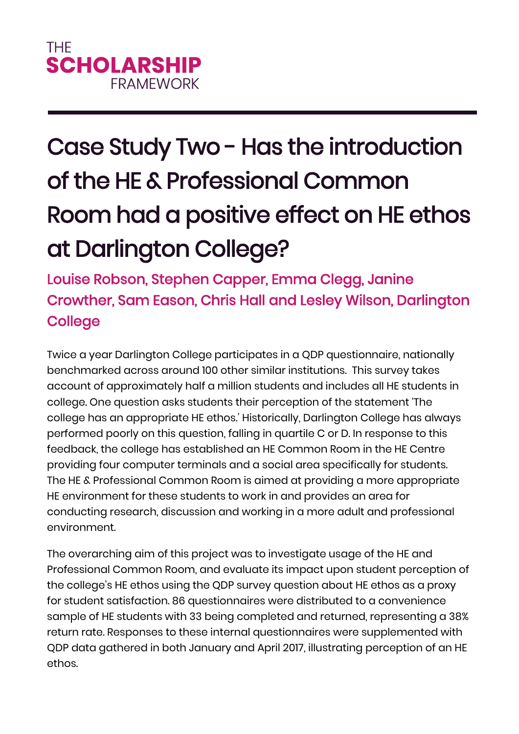## Case Study Two - Has the introduction of the HE & Professional Common Room had a positive effect on HE ethos at Darlington College?

Louise Robson, Stephen Capper, Emma Clegg, Janine Crowther, Sam Eason, Chris Hall and Lesley Wilson, Darlington **College** 

Twice a year Darlington College participates in a QDP questionnaire, nationally benchmarked across around 100 other similar institutions. This survey takes account of approximately half a million students and includes all HE students in college. One question asks students their perception of the statement 'The college has an appropriate HE ethos.' Historically, Darlington College has always performed poorly on this question, falling in quartile C or D. In response to this feedback, the college has established an HE Common Room in the HE Centre providing four computer terminals and a social area specifically for students. The HE & Professional Common Room is aimed at providing a more appropriate HE environment for these students to work in and provides an area for conducting research, discussion and working in a more adult and professional environment.

The overarching aim of this project was to investigate usage of the HE and Professional Common Room, and evaluate its impact upon student perception of the college's HE ethos using the QDP survey question about HE ethos as a proxy for student satisfaction. 86 questionnaires were distributed to a convenience sample of HE students with 33 being completed and returned, representing a 38% return rate. Responses to these internal questionnaires were supplemented with QDP data gathered in both January and April 2017, illustrating perception of an HE ethos.